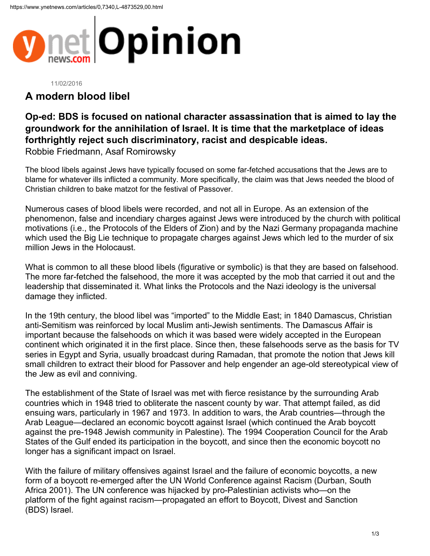

## 11/02/2016

## **A modern blood libel**

## **Op-ed: BDS is focused on national character assassination that is aimed to lay the groundwork for the annihilation of Israel. It is time that the marketplace of ideas forthrightly reject such discriminatory, racist and despicable ideas.**

Robbie Friedmann, Asaf Romirowsky

The blood libels against Jews have typically focused on some far-fetched accusations that the Jews are to blame for whatever ills inflicted a community. More specifically, the claim was that Jews needed the blood of Christian children to bake matzot for the festival of Passover.

Numerous cases of blood libels were recorded, and not all in Europe. As an extension of the phenomenon, false and incendiary charges against Jews were introduced by the church with political motivations (i.e., the Protocols of the Elders of Zion) and by the Nazi Germany propaganda machine which used the Big Lie technique to propagate charges against Jews which led to the murder of six million Jews in the Holocaust.

What is common to all these blood libels (figurative or symbolic) is that they are based on falsehood. The more far-fetched the falsehood, the more it was accepted by the mob that carried it out and the leadership that disseminated it. What links the Protocols and the Nazi ideology is the universal damage they inflicted.

In the 19th century, the blood libel was "imported" to the Middle East; in 1840 Damascus, Christian anti-Semitism was reinforced by local Muslim anti-Jewish sentiments. The Damascus Affair is important because the falsehoods on which it was based were widely accepted in the European continent which originated it in the first place. Since then, these falsehoods serve as the basis for TV series in Egypt and Syria, usually broadcast during Ramadan, that promote the notion that Jews kill small children to extract their blood for Passover and help engender an age-old stereotypical view of the Jew as evil and conniving.

The establishment of the State of Israel was met with fierce resistance by the surrounding Arab countries which in 1948 tried to obliterate the nascent county by war. That attempt failed, as did ensuing wars, particularly in 1967 and 1973. In addition to wars, the Arab countries—through the Arab League—declared an economic boycott against Israel (which continued the Arab boycott against the pre-1948 Jewish community in Palestine). The 1994 Cooperation Council for the Arab States of the Gulf ended its participation in the boycott, and since then the economic boycott no longer has a significant impact on Israel.

With the failure of military offensives against Israel and the failure of economic boycotts, a new form of a boycott re-emerged after the UN World Conference against Racism (Durban, South Africa 2001). The UN conference was hijacked by pro-Palestinian activists who—on the platform of the fight against racism—propagated an effort to Boycott, Divest and Sanction (BDS) Israel.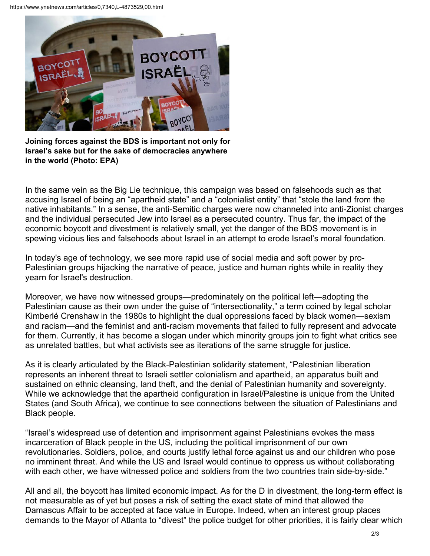

**Joining forces against the BDS is important not only for Israel's sake but for the sake of democracies anywhere in the world (Photo: EPA)**

In the same vein as the Big Lie technique, this campaign was based on falsehoods such as that accusing Israel of being an "apartheid state" and a "colonialist entity" that "stole the land from the native inhabitants." In a sense, the anti-Semitic charges were now channeled into anti-Zionist charges and the individual persecuted Jew into Israel as a persecuted country. Thus far, the impact of the economic boycott and divestment is relatively small, yet the danger of the BDS movement is in spewing vicious lies and falsehoods about Israel in an attempt to erode Israel's moral foundation.

In today's age of technology, we see more rapid use of social media and soft power by pro-Palestinian groups hijacking the narrative of peace, justice and human rights while in reality they yearn for Israel's destruction.

Moreover, we have now witnessed groups—predominately on the political left—adopting the Palestinian cause as their own under the guise of "intersectionality," a term coined by legal scholar Kimberlé Crenshaw in the 1980s to highlight the dual oppressions faced by black women—sexism and racism—and the feminist and anti-racism movements that failed to fully represent and advocate for them. Currently, it has become a slogan under which minority groups join to fight what critics see as unrelated battles, but what activists see as iterations of the same struggle for justice.

As it is clearly articulated by the Black-Palestinian solidarity statement, "Palestinian liberation represents an inherent threat to Israeli settler colonialism and apartheid, an apparatus built and sustained on ethnic cleansing, land theft, and the denial of Palestinian humanity and sovereignty. While we acknowledge that the apartheid configuration in Israel/Palestine is unique from the United States (and South Africa), we continue to see connections between the situation of Palestinians and Black people.

"Israel's widespread use of detention and imprisonment against Palestinians evokes the mass incarceration of Black people in the US, including the political imprisonment of our own revolutionaries. Soldiers, police, and courts justify lethal force against us and our children who pose no imminent threat. And while the US and Israel would continue to oppress us without collaborating with each other, we have witnessed police and soldiers from the two countries train side-by-side."

All and all, the boycott has limited economic impact. As for the D in divestment, the long-term effect is not measurable as of yet but poses a risk of setting the exact state of mind that allowed the Damascus Affair to be accepted at face value in Europe. Indeed, when an interest group places demands to the Mayor of Atlanta to "divest" the police budget for other priorities, it is fairly clear which